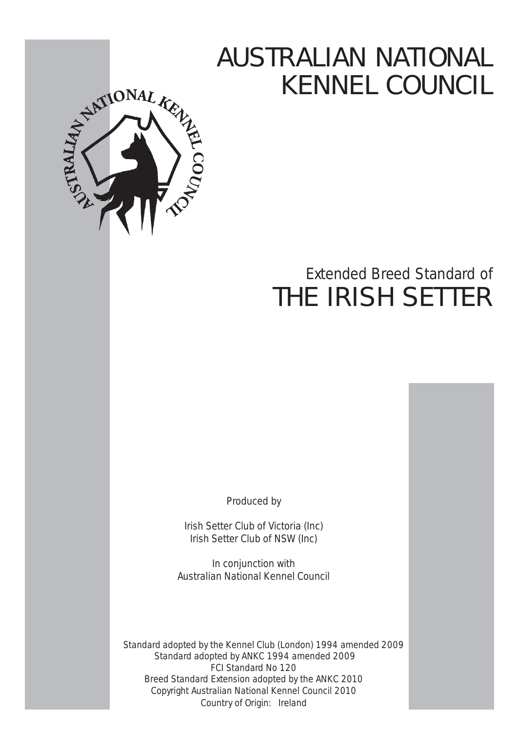# AUSTRALIAN NATIONAL KENNEL COUNCIL



## Extended Breed Standard of THE IRISH SETTER

Produced by

Irish Setter Club of Victoria (Inc) Irish Setter Club of NSW (Inc)

In conjunction with Australian National Kennel Council

 Standard adopted by the Kennel Club (London) 1994 amended 2009 Standard adopted by ANKC 1994 amended 2009 FCI Standard No 120 Breed Standard Extension adopted by the ANKC 2010 Copyright Australian National Kennel Council 2010 Country of Origin: Ireland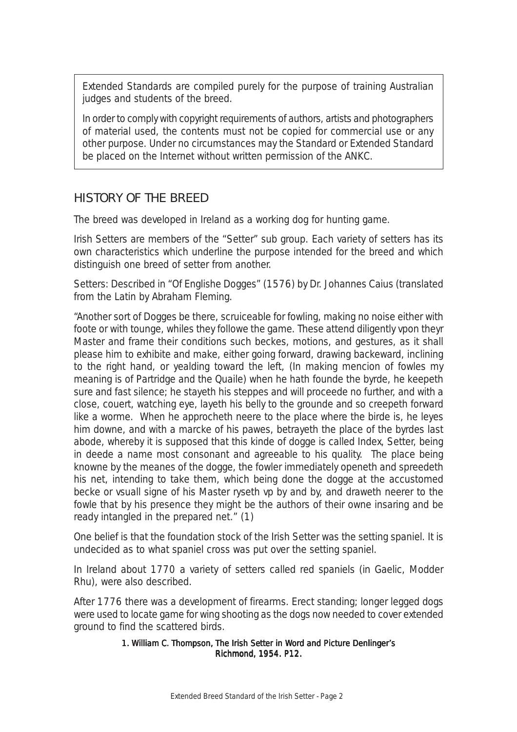Extended Standards are compiled purely for the purpose of training Australian judges and students of the breed.

In order to comply with copyright requirements of authors, artists and photographers of material used, the contents must not be copied for commercial use or any other purpose. Under no circumstances may the Standard or Extended Standard be placed on the Internet without written permission of the ANKC.

## HISTORY OF THE BREED

The breed was developed in Ireland as a working dog for hunting game.

Irish Setters are members of the "Setter" sub group. Each variety of setters has its own characteristics which underline the purpose intended for the breed and which distinguish one breed of setter from another.

Setters: Described in "Of Englishe Dogges" (1576) by Dr. Johannes Caius (translated from the Latin by Abraham Fleming.

"Another sort of Dogges be there, scruiceable for fowling, making no noise either with foote or with tounge, whiles they followe the game. These attend diligently vpon theyr Master and frame their conditions such beckes, motions, and gestures, as it shall please him to exhibite and make, either going forward, drawing backeward, inclining to the right hand, or yealding toward the left, (In making mencion of fowles my meaning is of Partridge and the Quaile) when he hath founde the byrde, he keepeth sure and fast silence; he stayeth his steppes and will proceede no further, and with a close, couert, watching eye, layeth his belly to the grounde and so creepeth forward like a worme. When he approcheth neere to the place where the birde is, he leyes him downe, and with a marcke of his pawes, betrayeth the place of the byrdes last abode, whereby it is supposed that this kinde of dogge is called Index, Setter, being in deede a name most consonant and agreeable to his quality. The place being knowne by the meanes of the dogge, the fowler immediately openeth and spreedeth his net, intending to take them, which being done the dogge at the accustomed becke or vsuall signe of his Master ryseth vp by and by, and draweth neerer to the fowle that by his presence they might be the authors of their owne insaring and be ready intangled in the prepared net." (1)

One belief is that the foundation stock of the Irish Setter was the setting spaniel. It is undecided as to what spaniel cross was put over the setting spaniel.

In Ireland about 1770 a variety of setters called red spaniels (in Gaelic, Modder Rhu), were also described.

After 1776 there was a development of firearms. Erect standing; longer legged dogs were used to locate game for wing shooting as the dogs now needed to cover extended ground to find the scattered birds.

#### *1. William C. Thompson, The Irish Setter in Word and Picture Denlinger's Richmond, 1954, P12.*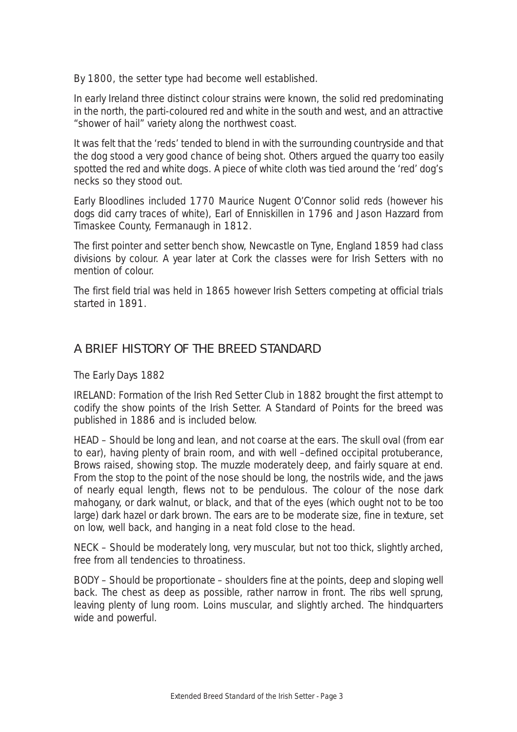By 1800, the setter type had become well established.

In early Ireland three distinct colour strains were known, the solid red predominating in the north, the parti-coloured red and white in the south and west, and an attractive "shower of hail" variety along the northwest coast.

It was felt that the 'reds' tended to blend in with the surrounding countryside and that the dog stood a very good chance of being shot. Others argued the quarry too easily spotted the red and white dogs. A piece of white cloth was tied around the 'red' dog's necks so they stood out.

Early Bloodlines included 1770 Maurice Nugent O'Connor solid reds (however his dogs did carry traces of white), Earl of Enniskillen in 1796 and Jason Hazzard from Timaskee County, Fermanaugh in 1812.

The first pointer and setter bench show, Newcastle on Tyne, England 1859 had class divisions by colour. A year later at Cork the classes were for Irish Setters with no mention of colour.

The first field trial was held in 1865 however Irish Setters competing at official trials started in 1891.

### A BRIEF HISTORY OF THE BREED STANDARD

The Early Days 1882

IRELAND: Formation of the Irish Red Setter Club in 1882 brought the first attempt to codify the show points of the Irish Setter. A Standard of Points for the breed was published in 1886 and is included below.

HEAD – Should be long and lean, and not coarse at the ears. The skull oval (from ear to ear), having plenty of brain room, and with well –defined occipital protuberance, Brows raised, showing stop. The muzzle moderately deep, and fairly square at end. From the stop to the point of the nose should be long, the nostrils wide, and the jaws of nearly equal length, flews not to be pendulous. The colour of the nose dark mahogany, or dark walnut, or black, and that of the eyes (which ought not to be too large) dark hazel or dark brown. The ears are to be moderate size, fine in texture, set on low, well back, and hanging in a neat fold close to the head.

NECK – Should be moderately long, very muscular, but not too thick, slightly arched, free from all tendencies to throatiness.

BODY – Should be proportionate – shoulders fine at the points, deep and sloping well back. The chest as deep as possible, rather narrow in front. The ribs well sprung, leaving plenty of lung room. Loins muscular, and slightly arched. The hindquarters wide and powerful.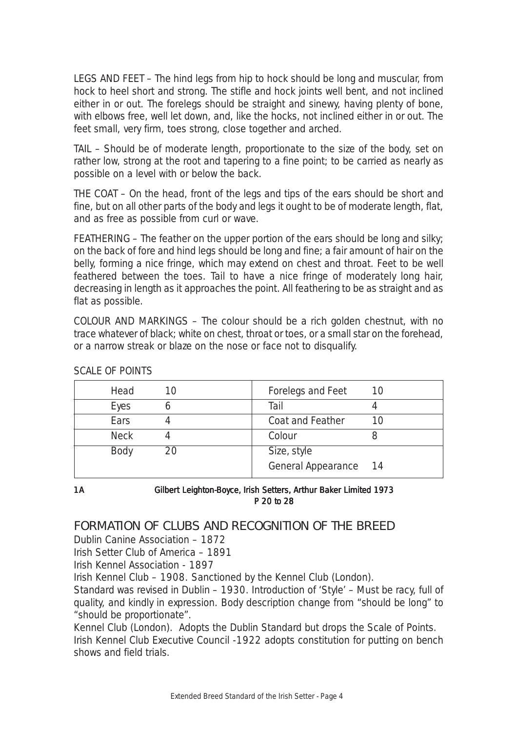LEGS AND FEET – The hind legs from hip to hock should be long and muscular, from hock to heel short and strong. The stifle and hock joints well bent, and not inclined either in or out. The forelegs should be straight and sinewy, having plenty of bone, with elbows free, well let down, and, like the hocks, not inclined either in or out. The feet small, very firm, toes strong, close together and arched.

TAIL – Should be of moderate length, proportionate to the size of the body, set on rather low, strong at the root and tapering to a fine point; to be carried as nearly as possible on a level with or below the back.

THE COAT – On the head, front of the legs and tips of the ears should be short and fine, but on all other parts of the body and legs it ought to be of moderate length, flat, and as free as possible from curl or wave.

FEATHERING – The feather on the upper portion of the ears should be long and silky; on the back of fore and hind legs should be long and fine; a fair amount of hair on the belly, forming a nice fringe, which may extend on chest and throat. Feet to be well feathered between the toes. Tail to have a nice fringe of moderately long hair, decreasing in length as it approaches the point. All feathering to be as straight and as flat as possible.

COLOUR AND MARKINGS – The colour should be a rich golden chestnut, with no trace whatever of black; white on chest, throat or toes, or a small star on the forehead, or a narrow streak or blaze on the nose or face not to disqualify.

| Head        | 10 | Forelegs and Feet  | 10  |
|-------------|----|--------------------|-----|
| Eyes        |    | Tail               |     |
| Ears        |    | Coat and Feather   |     |
| <b>Neck</b> |    | Colour             |     |
| Body        | 20 | Size, style        |     |
|             |    | General Appearance | -14 |

SCALE OF POINTS

**1A** *Gilbert Leighton-Boyce, Irish Setters, Arthur Baker Limited 1973 P 20 to 28*

## FORMATION OF CLUBS AND RECOGNITION OF THE BREED

Dublin Canine Association – 1872

Irish Setter Club of America – 1891

Irish Kennel Association - 1897

Irish Kennel Club – 1908. Sanctioned by the Kennel Club (London).

Standard was revised in Dublin – 1930. Introduction of 'Style' – Must be racy, full of quality, and kindly in expression. Body description change from "should be long" to "should be proportionate".

Kennel Club (London). Adopts the Dublin Standard but drops the Scale of Points. Irish Kennel Club Executive Council -1922 adopts constitution for putting on bench shows and field trials.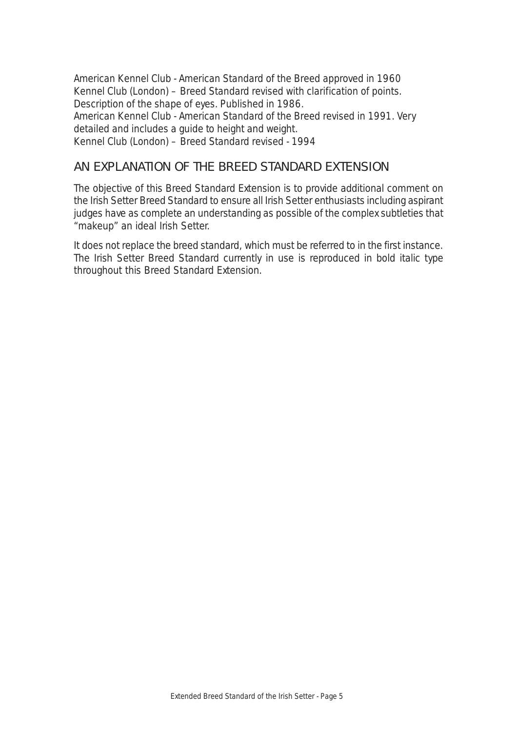American Kennel Club - American Standard of the Breed approved in 1960 Kennel Club (London) – Breed Standard revised with clarification of points. Description of the shape of eyes. Published in 1986. American Kennel Club - American Standard of the Breed revised in 1991. Very detailed and includes a guide to height and weight. Kennel Club (London) – Breed Standard revised - 1994

## AN EXPLANATION OF THE BREED STANDARD EXTENSION

The objective of this Breed Standard Extension is to provide additional comment on the Irish Setter Breed Standard to ensure all Irish Setter enthusiasts including aspirant judges have as complete an understanding as possible of the complex subtleties that "makeup" an ideal Irish Setter.

It does not replace the breed standard, which must be referred to in the first instance. The Irish Setter Breed Standard currently in use is reproduced in bold italic type throughout this Breed Standard Extension.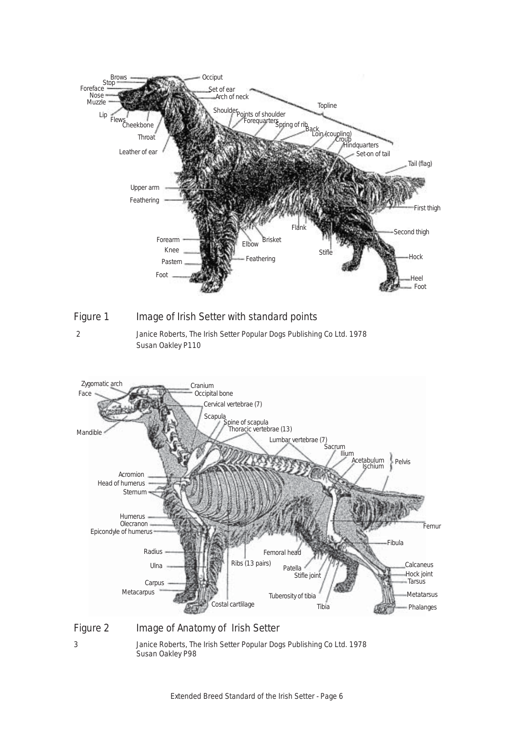

*3 Janice Roberts, The Irish Setter Popular Dogs Publishing Co Ltd. 1978 Susan Oakley P98*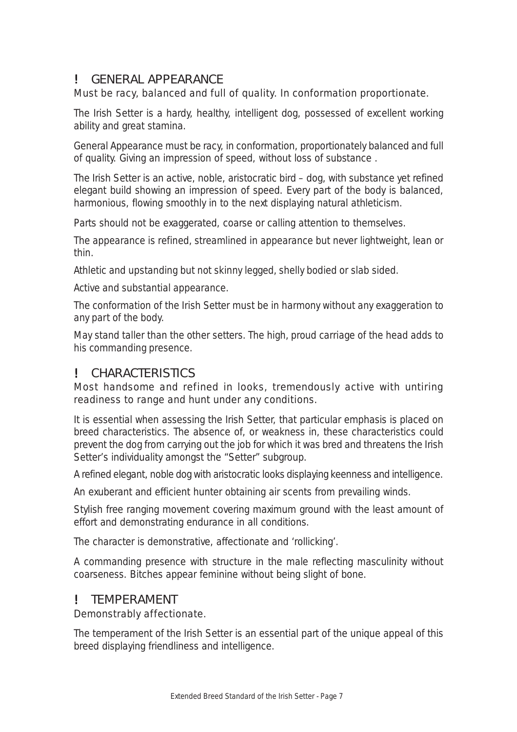## ! GENERAL APPEARANCE

#### *Must be racy, balanced and full of quality. In conformation proportionate.*

The Irish Setter is a hardy, healthy, intelligent dog, possessed of excellent working ability and great stamina.

General Appearance must be racy, in conformation, proportionately balanced and full of quality. Giving an impression of speed, without loss of substance .

The Irish Setter is an active, noble, aristocratic bird – dog, with substance yet refined elegant build showing an impression of speed. Every part of the body is balanced, harmonious, flowing smoothly in to the next displaying natural athleticism.

Parts should not be exaggerated, coarse or calling attention to themselves.

The appearance is refined, streamlined in appearance but never lightweight, lean or thin.

Athletic and upstanding but not skinny legged, shelly bodied or slab sided.

Active and substantial appearance.

The conformation of the Irish Setter must be in harmony without any exaggeration to any part of the body.

May stand taller than the other setters. The high, proud carriage of the head adds to his commanding presence.

## ! CHARACTERISTICS

#### *Most handsome and refined in looks, tremendously active with untiring readiness to range and hunt under any conditions.*

It is essential when assessing the Irish Setter, that particular emphasis is placed on breed characteristics. The absence of, or weakness in, these characteristics could prevent the dog from carrying out the job for which it was bred and threatens the Irish Setter's individuality amongst the "Setter" subgroup.

A refined elegant, noble dog with aristocratic looks displaying keenness and intelligence.

An exuberant and efficient hunter obtaining air scents from prevailing winds.

Stylish free ranging movement covering maximum ground with the least amount of effort and demonstrating endurance in all conditions.

The character is demonstrative, affectionate and 'rollicking'.

A commanding presence with structure in the male reflecting masculinity without coarseness. Bitches appear feminine without being slight of bone.

## ! TEMPERAMENT

#### *Demonstrably affectionate.*

The temperament of the Irish Setter is an essential part of the unique appeal of this breed displaying friendliness and intelligence.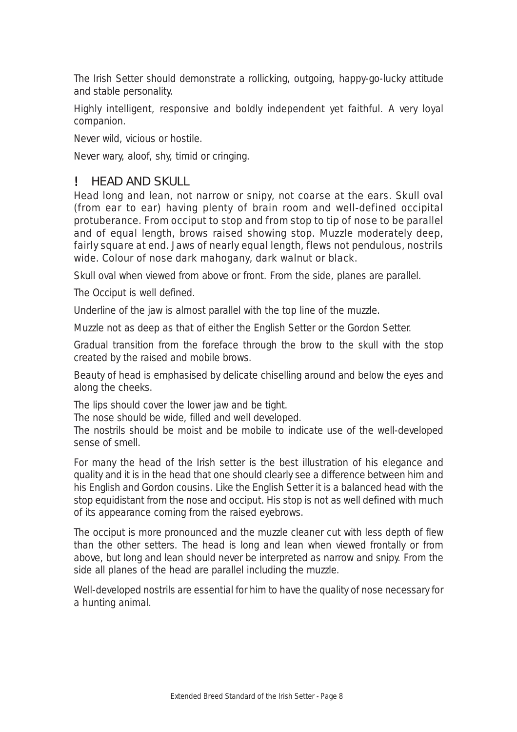The Irish Setter should demonstrate a rollicking, outgoing, happy-go-lucky attitude and stable personality.

Highly intelligent, responsive and boldly independent yet faithful. A very loyal companion.

Never wild, vicious or hostile.

Never wary, aloof, shy, timid or cringing.

### **HEAD AND SKULL**

*Head long and lean, not narrow or snipy, not coarse at the ears. Skull oval (from ear to ear) having plenty of brain room and well-defined occipital protuberance. From occiput to stop and from stop to tip of nose to be parallel and of equal length, brows raised showing stop. Muzzle moderately deep, fairly square at end. Jaws of nearly equal length, flews not pendulous, nostrils wide. Colour of nose dark mahogany, dark walnut or black.*

Skull oval when viewed from above or front. From the side, planes are parallel.

The Occiput is well defined.

Underline of the jaw is almost parallel with the top line of the muzzle.

Muzzle not as deep as that of either the English Setter or the Gordon Setter.

Gradual transition from the foreface through the brow to the skull with the stop created by the raised and mobile brows.

Beauty of head is emphasised by delicate chiselling around and below the eyes and along the cheeks.

The lips should cover the lower jaw and be tight.

The nose should be wide, filled and well developed.

The nostrils should be moist and be mobile to indicate use of the well-developed sense of smell.

For many the head of the Irish setter is the best illustration of his elegance and quality and it is in the head that one should clearly see a difference between him and his English and Gordon cousins. Like the English Setter it is a balanced head with the stop equidistant from the nose and occiput. His stop is not as well defined with much of its appearance coming from the raised eyebrows.

The occiput is more pronounced and the muzzle cleaner cut with less depth of flew than the other setters. The head is long and lean when viewed frontally or from above, but long and lean should never be interpreted as narrow and snipy. From the side all planes of the head are parallel including the muzzle.

Well-developed nostrils are essential for him to have the quality of nose necessary for a hunting animal.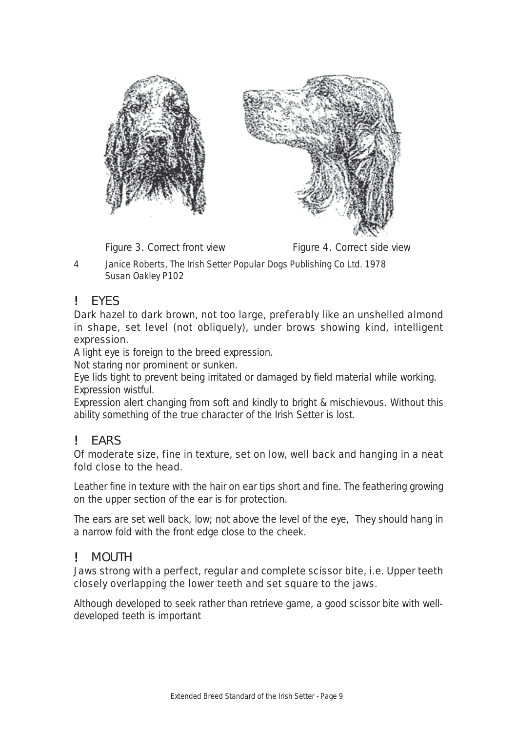

Figure 3. Correct front view Figure 4. Correct side view

*4 Janice Roberts, The Irish Setter Popular Dogs Publishing Co Ltd. 1978 Susan Oakley P102*

## ! EYES

#### *Dark hazel to dark brown, not too large, preferably like an unshelled almond in shape, set level (not obliquely), under brows showing kind, intelligent expression.*

A light eye is foreign to the breed expression.

Not staring nor prominent or sunken.

Eye lids tight to prevent being irritated or damaged by field material while working. Expression wistful.

Expression alert changing from soft and kindly to bright & mischievous. Without this ability something of the true character of the Irish Setter is lost.

## ! EARS

#### *Of moderate size, fine in texture, set on low, well back and hanging in a neat fold close to the head.*

Leather fine in texture with the hair on ear tips short and fine. The feathering growing on the upper section of the ear is for protection.

The ears are set well back, low; not above the level of the eye, They should hang in a narrow fold with the front edge close to the cheek.

## ! MOUTH

#### *Jaws strong with a perfect, regular and complete scissor bite, i.e. Upper teeth closely overlapping the lower teeth and set square to the jaws.*

Although developed to seek rather than retrieve game, a good scissor bite with welldeveloped teeth is important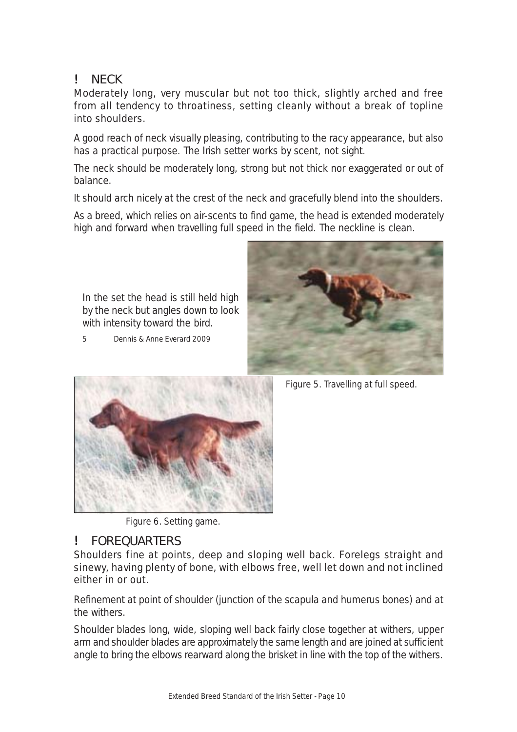## ! NECK

#### *Moderately long, very muscular but not too thick, slightly arched and free from all tendency to throatiness, setting cleanly without a break of topline into shoulders.*

A good reach of neck visually pleasing, contributing to the racy appearance, but also has a practical purpose. The Irish setter works by scent, not sight.

The neck should be moderately long, strong but not thick nor exaggerated or out of balance.

It should arch nicely at the crest of the neck and gracefully blend into the shoulders.

As a breed, which relies on air-scents to find game, the head is extended moderately high and forward when travelling full speed in the field. The neckline is clean.

In the set the head is still held high by the neck but angles down to look with intensity toward the bird.

*5 Dennis & Anne Everard 2009*





Figure 5. Travelling at full speed.

Figure 6. Setting game.

## ! FOREQUARTERS

*Shoulders fine at points, deep and sloping well back. Forelegs straight and sinewy, having plenty of bone, with elbows free, well let down and not inclined either in or out.*

Refinement at point of shoulder (junction of the scapula and humerus bones) and at the withers.

Shoulder blades long, wide, sloping well back fairly close together at withers, upper arm and shoulder blades are approximately the same length and are joined at sufficient angle to bring the elbows rearward along the brisket in line with the top of the withers.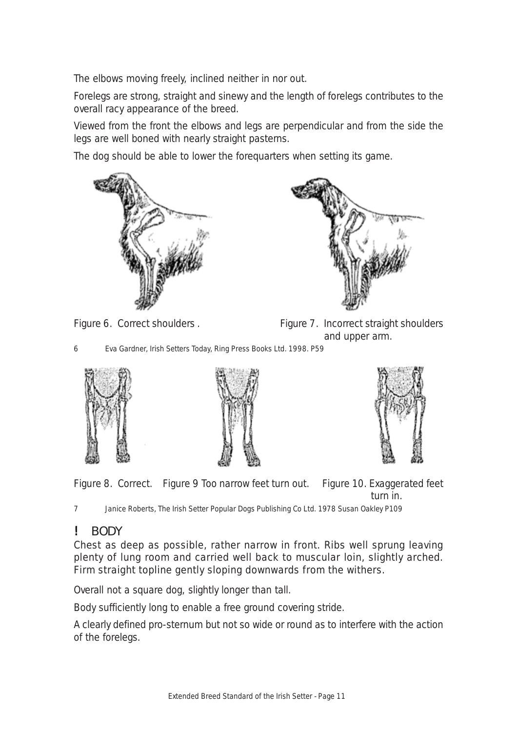The elbows moving freely, inclined neither in nor out.

Forelegs are strong, straight and sinewy and the length of forelegs contributes to the overall racy appearance of the breed.

Viewed from the front the elbows and legs are perpendicular and from the side the legs are well boned with nearly straight pasterns.

The dog should be able to lower the forequarters when setting its game.





Figure 6. Correct shoulders . The Figure 7. Incorrect straight shoulders and upper arm.

*6 Eva Gardner, Irish Setters Today, Ring Press Books Ltd. 1998. P59*







Figure 8. Correct. Figure 9 Too narrow feet turn out. Figure 10. Exaggerated feet turn in.

*7 Janice Roberts, The Irish Setter Popular Dogs Publishing Co Ltd. 1978 Susan Oakley P109*

## ! BODY

*Chest as deep as possible, rather narrow in front. Ribs well sprung leaving plenty of lung room and carried well back to muscular loin, slightly arched. Firm straight topline gently sloping downwards from the withers.*

Overall not a square dog, slightly longer than tall.

Body sufficiently long to enable a free ground covering stride.

A clearly defined pro-sternum but not so wide or round as to interfere with the action of the forelegs.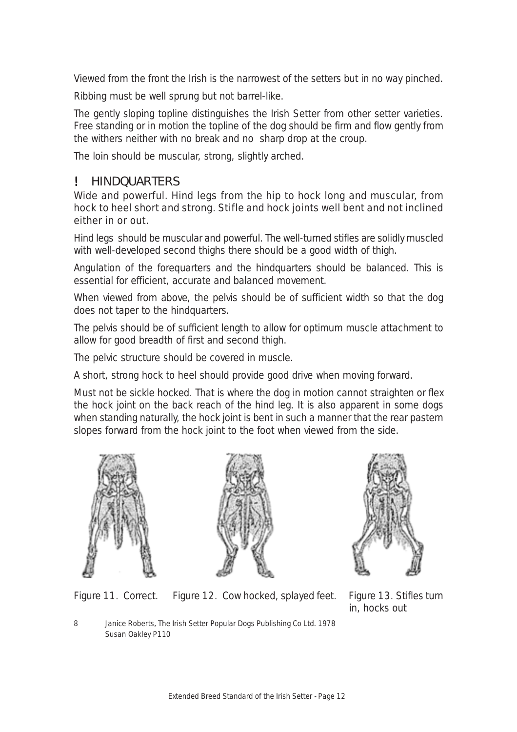Viewed from the front the Irish is the narrowest of the setters but in no way pinched.

Ribbing must be well sprung but not barrel-like.

The gently sloping topline distinguishes the Irish Setter from other setter varieties. Free standing or in motion the topline of the dog should be firm and flow gently from the withers neither with no break and no sharp drop at the croup.

The loin should be muscular, strong, slightly arched.

### ! HINDQUARTERS

#### *Wide and powerful. Hind legs from the hip to hock long and muscular, from hock to heel short and strong. Stifle and hock joints well bent and not inclined either in or out.*

Hind legs should be muscular and powerful. The well-turned stifles are solidly muscled with well-developed second thighs there should be a good width of thigh.

Angulation of the forequarters and the hindquarters should be balanced. This is essential for efficient, accurate and balanced movement.

When viewed from above, the pelvis should be of sufficient width so that the dog does not taper to the hindquarters.

The pelvis should be of sufficient length to allow for optimum muscle attachment to allow for good breadth of first and second thigh.

The pelvic structure should be covered in muscle.

A short, strong hock to heel should provide good drive when moving forward.

Must not be sickle hocked. That is where the dog in motion cannot straighten or flex the hock joint on the back reach of the hind leg. It is also apparent in some dogs when standing naturally, the hock joint is bent in such a manner that the rear pastern slopes forward from the hock joint to the foot when viewed from the side.







Figure 11. Correct. Figure 12. Cow hocked, splayed feet. Figure 13. Stifles turn

in, hocks out

*8 Janice Roberts, The Irish Setter Popular Dogs Publishing Co Ltd. 1978 Susan Oakley P110*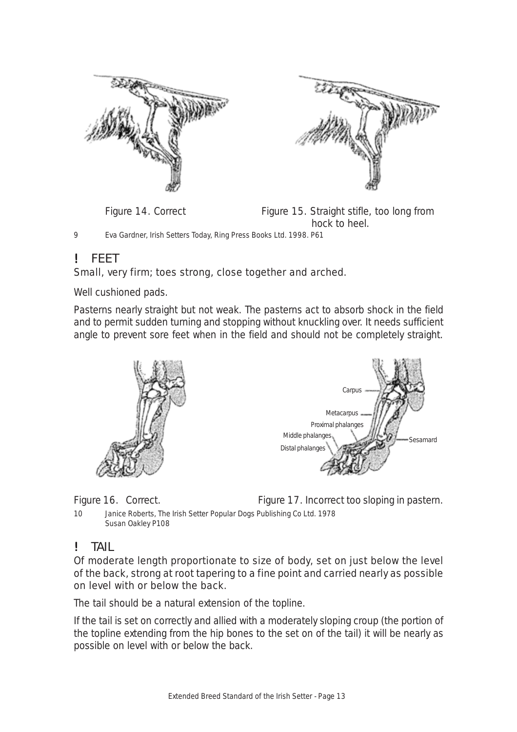



Figure 14. Correct Figure 15. Straight stifle, too long from hock to heel. *9 Eva Gardner, Irish Setters Today, Ring Press Books Ltd. 1998. P61*

## ! FEET

#### *Small, very firm; toes strong, close together and arched.*

Well cushioned pads.

Pasterns nearly straight but not weak. The pasterns act to absorb shock in the field and to permit sudden turning and stopping without knuckling over. It needs sufficient angle to prevent sore feet when in the field and should not be completely straight.



Figure 16. Correct. Figure 17. Incorrect too sloping in pastern.

*10 Janice Roberts, The Irish Setter Popular Dogs Publishing Co Ltd. 1978 Susan Oakley P108*

## ! TAIL

#### *Of moderate length proportionate to size of body, set on just below the level of the back, strong at root tapering to a fine point and carried nearly as possible on level with or below the back.*

The tail should be a natural extension of the topline.

If the tail is set on correctly and allied with a moderately sloping croup (the portion of the topline extending from the hip bones to the set on of the tail) it will be nearly as possible on level with or below the back.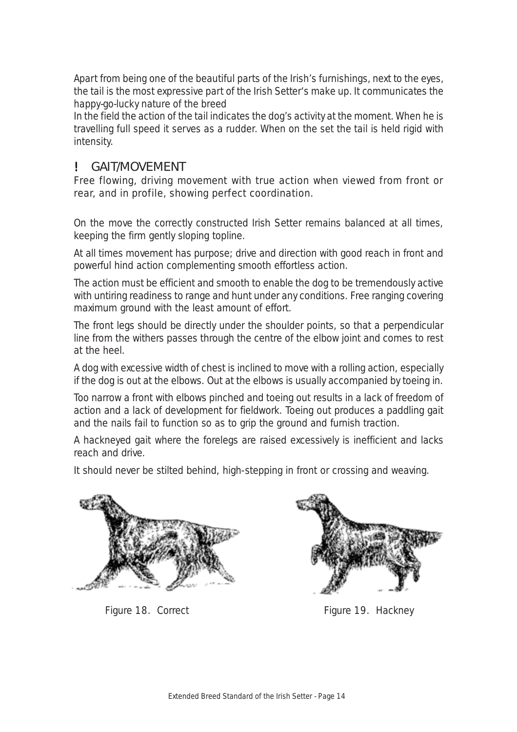Apart from being one of the beautiful parts of the Irish's furnishings, next to the eyes, the tail is the most expressive part of the Irish Setter's make up. It communicates the happy-go-lucky nature of the breed

In the field the action of the tail indicates the dog's activity at the moment. When he is travelling full speed it serves as a rudder. When on the set the tail is held rigid with intensity.

## ! GAIT/MOVEMENT

*Free flowing, driving movement with true action when viewed from front or rear, and in profile, showing perfect coordination.*

On the move the correctly constructed Irish Setter remains balanced at all times, keeping the firm gently sloping topline.

At all times movement has purpose; drive and direction with good reach in front and powerful hind action complementing smooth effortless action.

The action must be efficient and smooth to enable the dog to be tremendously active with untiring readiness to range and hunt under any conditions. Free ranging covering maximum ground with the least amount of effort.

The front legs should be directly under the shoulder points, so that a perpendicular line from the withers passes through the centre of the elbow joint and comes to rest at the heel.

A dog with excessive width of chest is inclined to move with a rolling action, especially if the dog is out at the elbows. Out at the elbows is usually accompanied by toeing in.

Too narrow a front with elbows pinched and toeing out results in a lack of freedom of action and a lack of development for fieldwork. Toeing out produces a paddling gait and the nails fail to function so as to grip the ground and furnish traction.

A hackneyed gait where the forelegs are raised excessively is inefficient and lacks reach and drive.

It should never be stilted behind, high-stepping in front or crossing and weaving.





Figure 18. Correct Figure 19. Hackney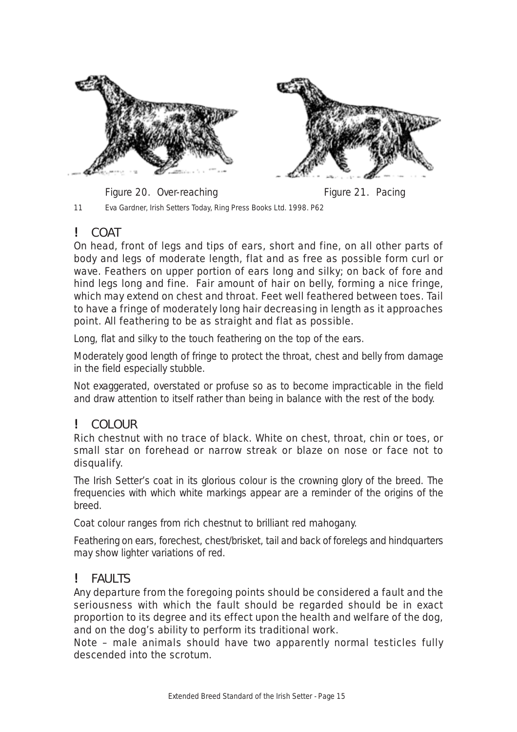

Figure 20. Over-reaching Figure 21. Pacing

*11 Eva Gardner, Irish Setters Today, Ring Press Books Ltd. 1998. P62*

## ! COAT

*On head, front of legs and tips of ears, short and fine, on all other parts of body and legs of moderate length, flat and as free as possible form curl or wave. Feathers on upper portion of ears long and silky; on back of fore and hind legs long and fine. Fair amount of hair on belly, forming a nice fringe, which may extend on chest and throat. Feet well feathered between toes. Tail to have a fringe of moderately long hair decreasing in length as it approaches point. All feathering to be as straight and flat as possible.*

Long, flat and silky to the touch feathering on the top of the ears.

Moderately good length of fringe to protect the throat, chest and belly from damage in the field especially stubble.

Not exaggerated, overstated or profuse so as to become impracticable in the field and draw attention to itself rather than being in balance with the rest of the body.

## ! COLOUR

#### *Rich chestnut with no trace of black. White on chest, throat, chin or toes, or small star on forehead or narrow streak or blaze on nose or face not to disqualify.*

The Irish Setter's coat in its glorious colour is the crowning glory of the breed. The frequencies with which white markings appear are a reminder of the origins of the breed.

Coat colour ranges from rich chestnut to brilliant red mahogany.

Feathering on ears, forechest, chest/brisket, tail and back of forelegs and hindquarters may show lighter variations of red.

## ! FAULTS

*Any departure from the foregoing points should be considered a fault and the seriousness with which the fault should be regarded should be in exact proportion to its degree and its effect upon the health and welfare of the dog, and on the dog's ability to perform its traditional work.*

*Note – male animals should have two apparently normal testicles fully descended into the scrotum.*